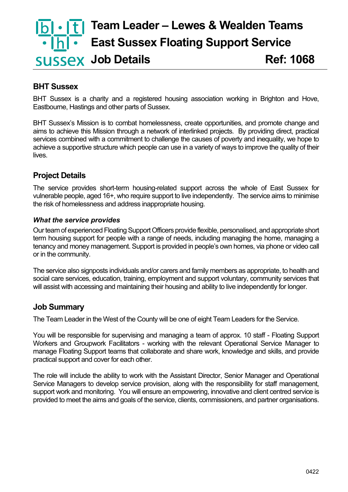# **Team Leader – Lewes & Wealden Teams East Sussex Floating Support Service SUSSEX Job Details** Ref: 1068

#### **BHT Sussex**

BHT Sussex is a charity and a registered housing association working in Brighton and Hove, Eastbourne, Hastings and other parts of Sussex.

BHT Sussex's Mission is to combat homelessness, create opportunities, and promote change and aims to achieve this Mission through a network of interlinked projects. By providing direct, practical services combined with a commitment to challenge the causes of poverty and inequality, we hope to achieve a supportive structure which people can use in a variety of ways to improve the quality of their lives.

#### **Project Details**

The service provides short-term housing-related support across the whole of East Sussex for vulnerable people, aged 16+, who require support to live independently. The service aims to minimise the risk of homelessness and address inappropriate housing.

#### *What the service provides*

Our team of experienced Floating Support Officers provide flexible, personalised, and appropriate short term housing support for people with a range of needs, including managing the home, managing a tenancy and money management. Support is provided in people's own homes, via phone or video call or in the community.

The service also signposts individuals and/or carers and family members as appropriate, to health and social care services, education, training, employment and support voluntary, community services that will assist with accessing and maintaining their housing and ability to live independently for longer.

## **Job Summary**

The Team Leader in the West of the County will be one of eight Team Leaders for the Service.

You will be responsible for supervising and managing a team of approx. 10 staff - Floating Support Workers and Groupwork Facilitators - working with the relevant Operational Service Manager to manage Floating Support teams that collaborate and share work, knowledge and skills, and provide practical support and cover for each other.

The role will include the ability to work with the Assistant Director, Senior Manager and Operational Service Managers to develop service provision, along with the responsibility for staff management, support work and monitoring. You will ensure an empowering, innovative and client centred service is provided to meet the aims and goals of the service, clients, commissioners, and partner organisations.